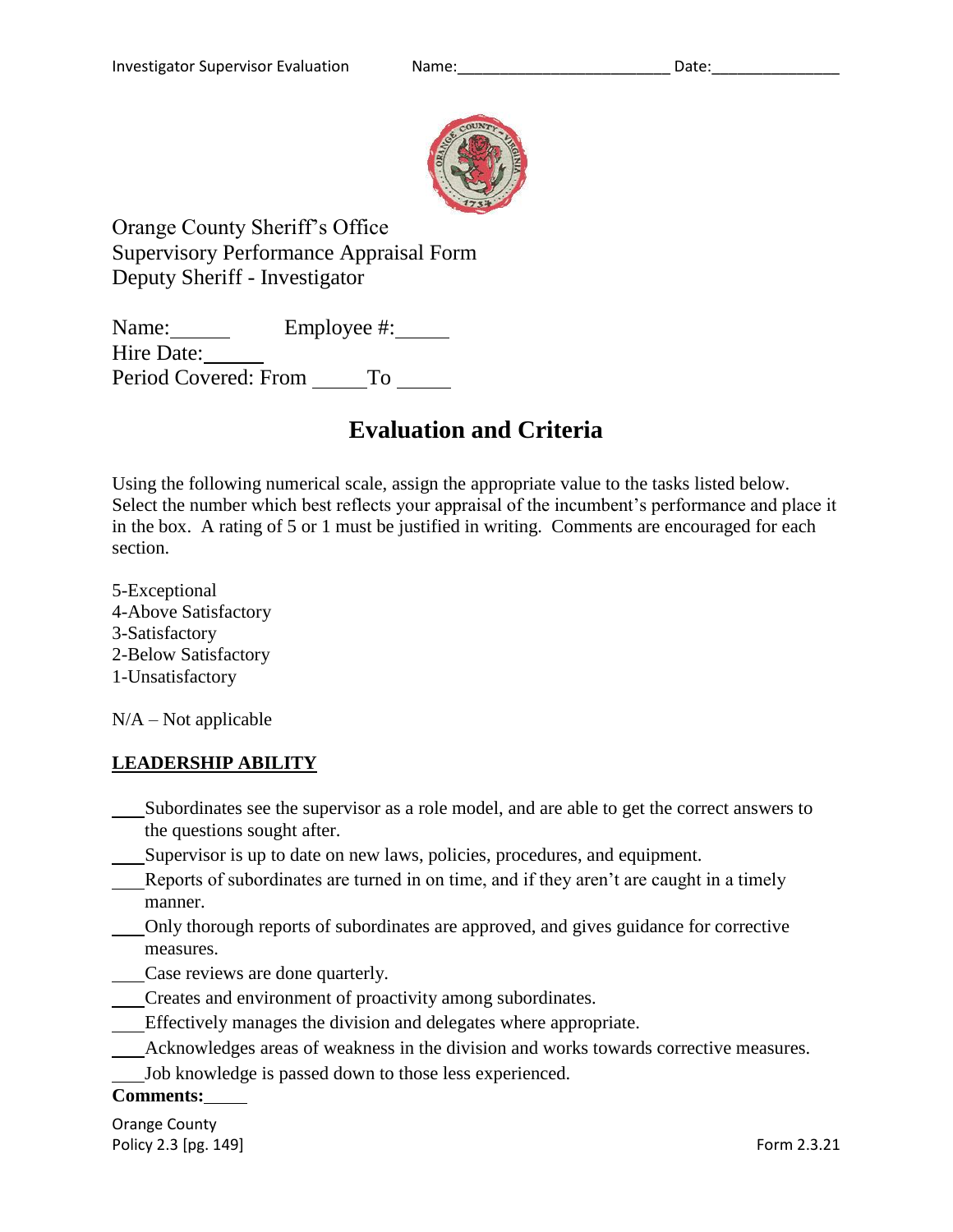

Orange County Sheriff's Office Supervisory Performance Appraisal Form Deputy Sheriff - Investigator

Name: Employee #: Hire Date: Period Covered: From To

# **Evaluation and Criteria**

Using the following numerical scale, assign the appropriate value to the tasks listed below. Select the number which best reflects your appraisal of the incumbent's performance and place it in the box. A rating of 5 or 1 must be justified in writing. Comments are encouraged for each section.

5-Exceptional 4-Above Satisfactory 3-Satisfactory 2-Below Satisfactory 1-Unsatisfactory

 $N/A - Not$  applicable

# **LEADERSHIP ABILITY**

- Subordinates see the supervisor as a role model, and are able to get the correct answers to the questions sought after.
- Supervisor is up to date on new laws, policies, procedures, and equipment.
- Reports of subordinates are turned in on time, and if they aren't are caught in a timely manner.
- Only thorough reports of subordinates are approved, and gives guidance for corrective measures.
- Case reviews are done quarterly.
- Creates and environment of proactivity among subordinates.
- Effectively manages the division and delegates where appropriate.
- Acknowledges areas of weakness in the division and works towards corrective measures.
- Job knowledge is passed down to those less experienced.

## **Comments:**

Orange County Policy 2.3 [pg. 149] **Form 2.3.21** Form 2.3.21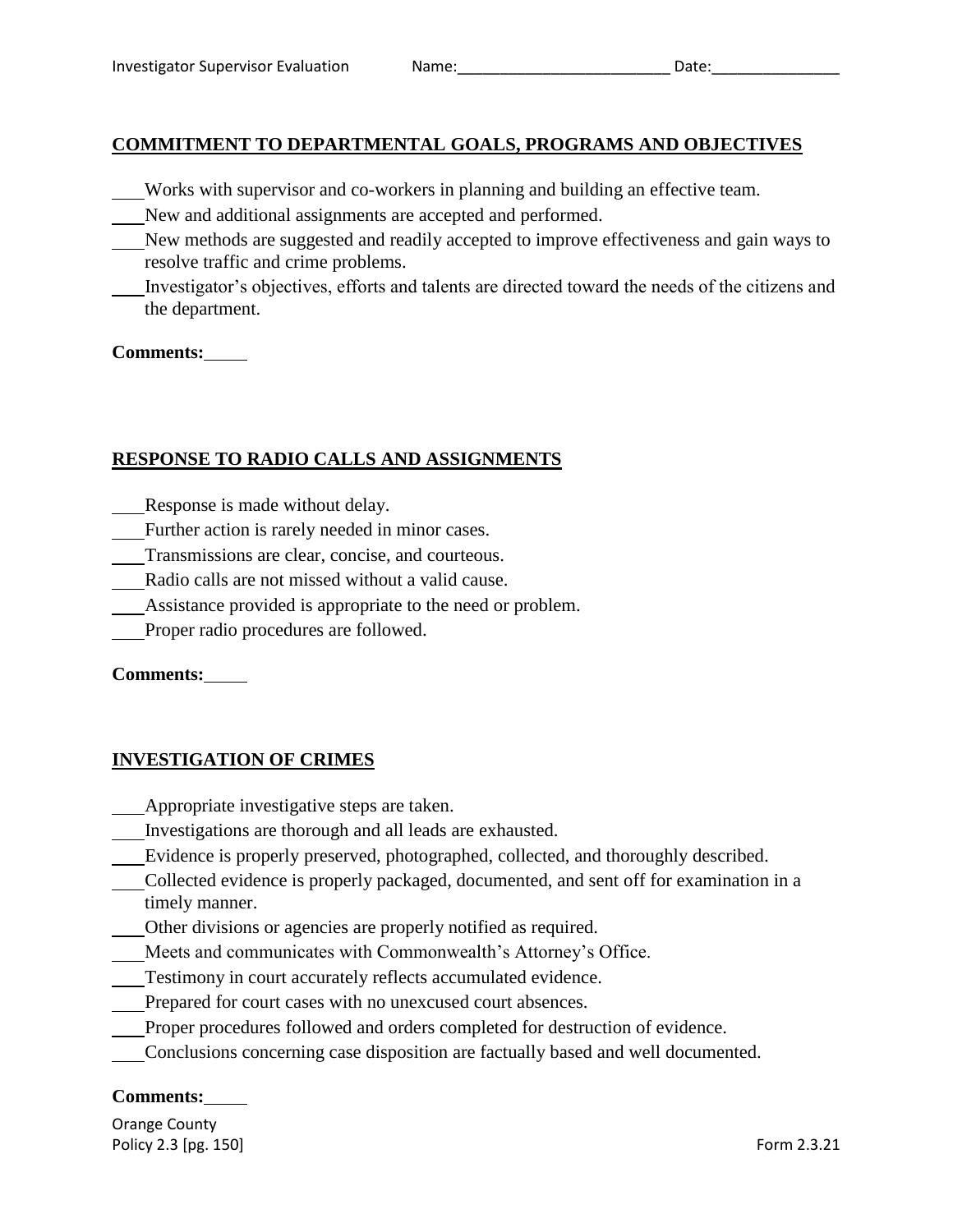# **COMMITMENT TO DEPARTMENTAL GOALS, PROGRAMS AND OBJECTIVES**

- Works with supervisor and co-workers in planning and building an effective team.
- New and additional assignments are accepted and performed.
- New methods are suggested and readily accepted to improve effectiveness and gain ways to resolve traffic and crime problems.
- Investigator's objectives, efforts and talents are directed toward the needs of the citizens and the department.

## **Comments:**

# **RESPONSE TO RADIO CALLS AND ASSIGNMENTS**

- Response is made without delay.
- Further action is rarely needed in minor cases.
- Transmissions are clear, concise, and courteous.
- Radio calls are not missed without a valid cause.
- Assistance provided is appropriate to the need or problem.
- Proper radio procedures are followed.

## **Comments:**

## **INVESTIGATION OF CRIMES**

- Appropriate investigative steps are taken.
- Investigations are thorough and all leads are exhausted.
- Evidence is properly preserved, photographed, collected, and thoroughly described.
- Collected evidence is properly packaged, documented, and sent off for examination in a timely manner.
- Other divisions or agencies are properly notified as required.
- Meets and communicates with Commonwealth's Attorney's Office.
- Testimony in court accurately reflects accumulated evidence.
- Prepared for court cases with no unexcused court absences.
- Proper procedures followed and orders completed for destruction of evidence.
- Conclusions concerning case disposition are factually based and well documented.

## **Comments:**

Orange County Policy 2.3 [pg. 150] Form 2.3.21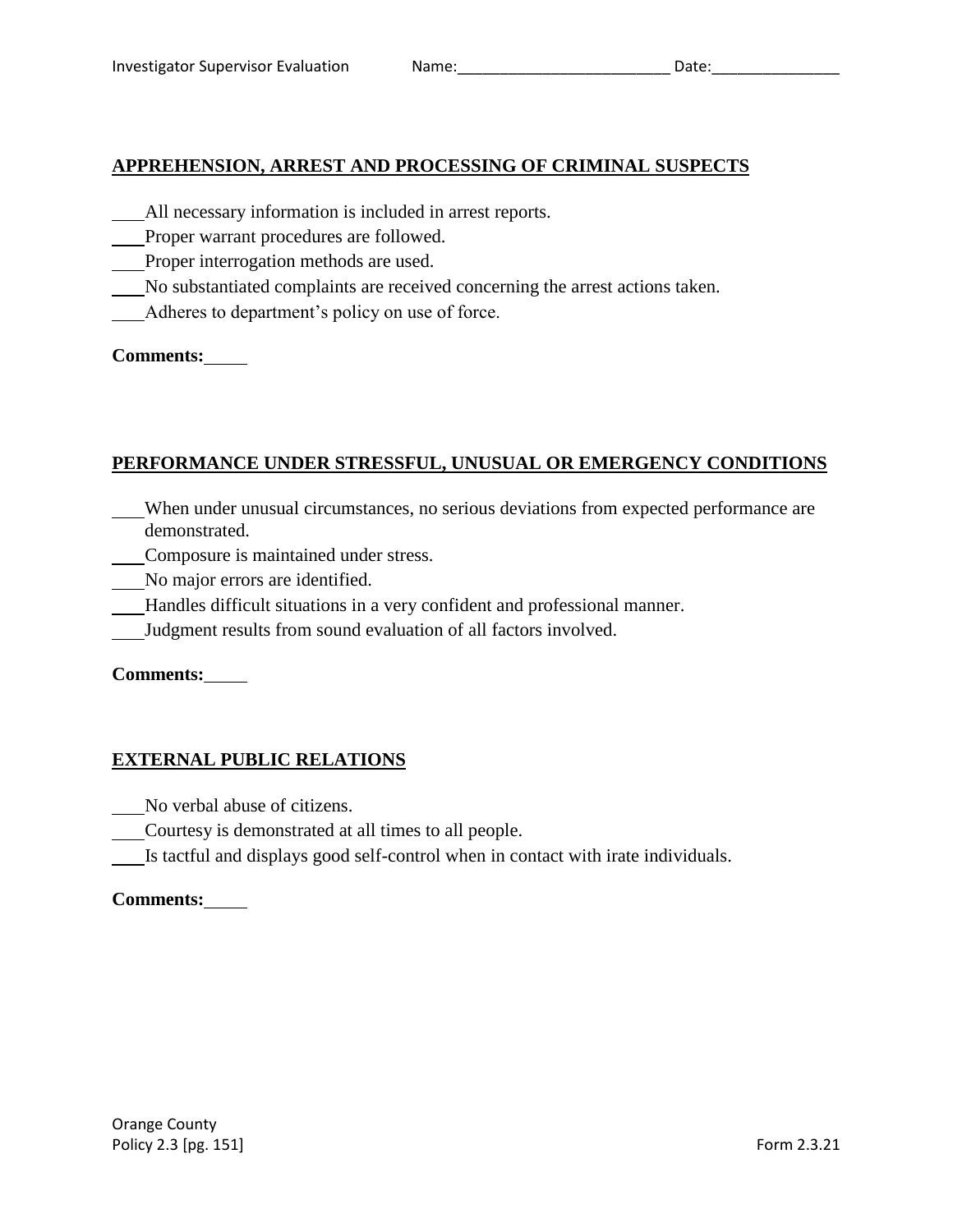# **APPREHENSION, ARREST AND PROCESSING OF CRIMINAL SUSPECTS**

- All necessary information is included in arrest reports.
- Proper warrant procedures are followed.
- Proper interrogation methods are used.
- No substantiated complaints are received concerning the arrest actions taken.
- Adheres to department's policy on use of force.

# **Comments:**

# **PERFORMANCE UNDER STRESSFUL, UNUSUAL OR EMERGENCY CONDITIONS**

- When under unusual circumstances, no serious deviations from expected performance are demonstrated.
- Composure is maintained under stress.
- No major errors are identified.
- Handles difficult situations in a very confident and professional manner.
- Judgment results from sound evaluation of all factors involved.

## **Comments:**

# **EXTERNAL PUBLIC RELATIONS**

- No verbal abuse of citizens.
- Courtesy is demonstrated at all times to all people.
- Is tactful and displays good self-control when in contact with irate individuals.

## **Comments:**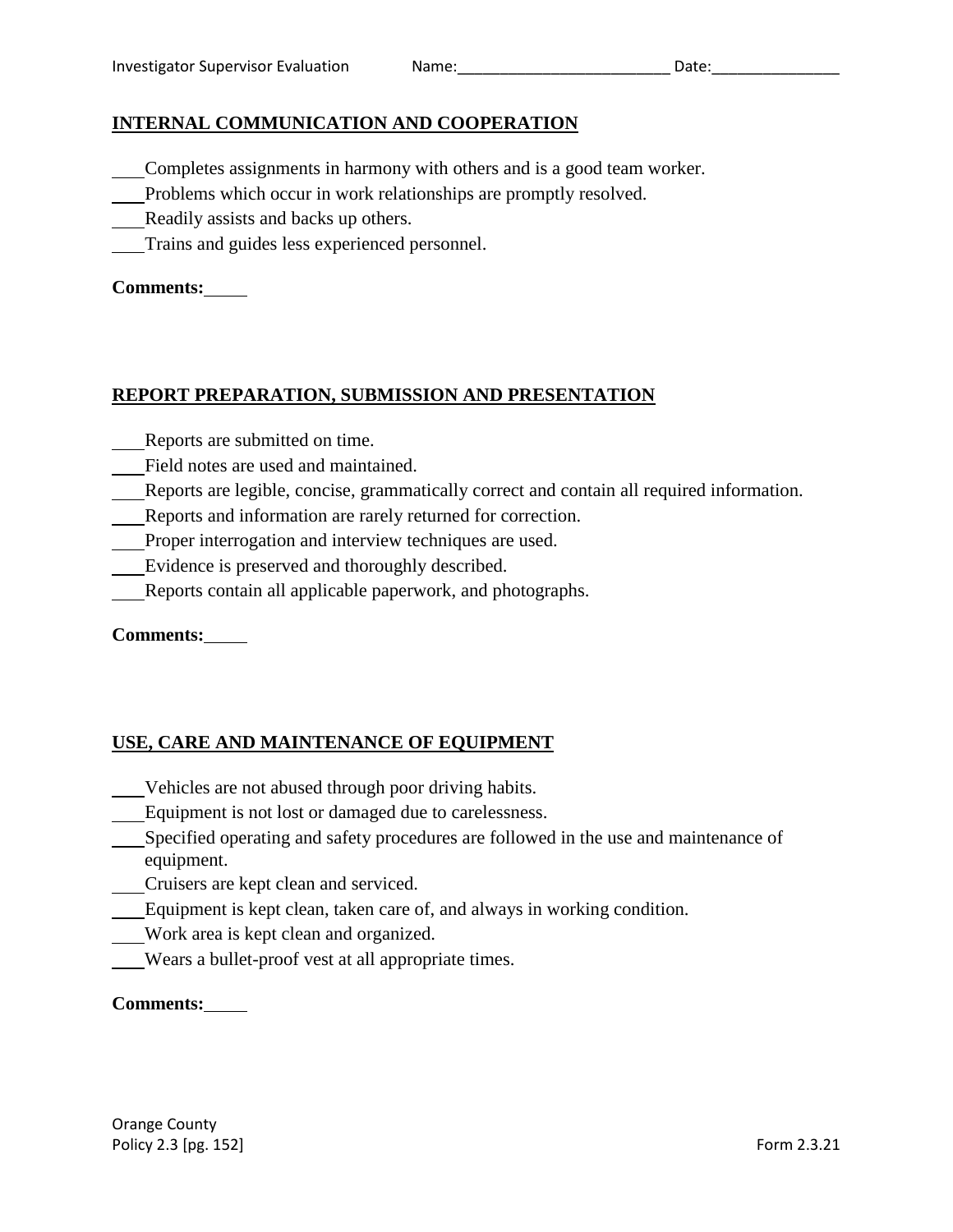# **INTERNAL COMMUNICATION AND COOPERATION**

- Completes assignments in harmony with others and is a good team worker.
- Problems which occur in work relationships are promptly resolved.
- Readily assists and backs up others.
- Trains and guides less experienced personnel.

# **Comments:**

# **REPORT PREPARATION, SUBMISSION AND PRESENTATION**

- Reports are submitted on time.
- Field notes are used and maintained.
- Reports are legible, concise, grammatically correct and contain all required information.
- Reports and information are rarely returned for correction.
- Proper interrogation and interview techniques are used.
- Evidence is preserved and thoroughly described.
- Reports contain all applicable paperwork, and photographs.

## **Comments:**

# **USE, CARE AND MAINTENANCE OF EQUIPMENT**

- Vehicles are not abused through poor driving habits.
- Equipment is not lost or damaged due to carelessness.
- Specified operating and safety procedures are followed in the use and maintenance of equipment.
- Cruisers are kept clean and serviced.
- Equipment is kept clean, taken care of, and always in working condition.
- Work area is kept clean and organized.
- Wears a bullet-proof vest at all appropriate times.

## **Comments:**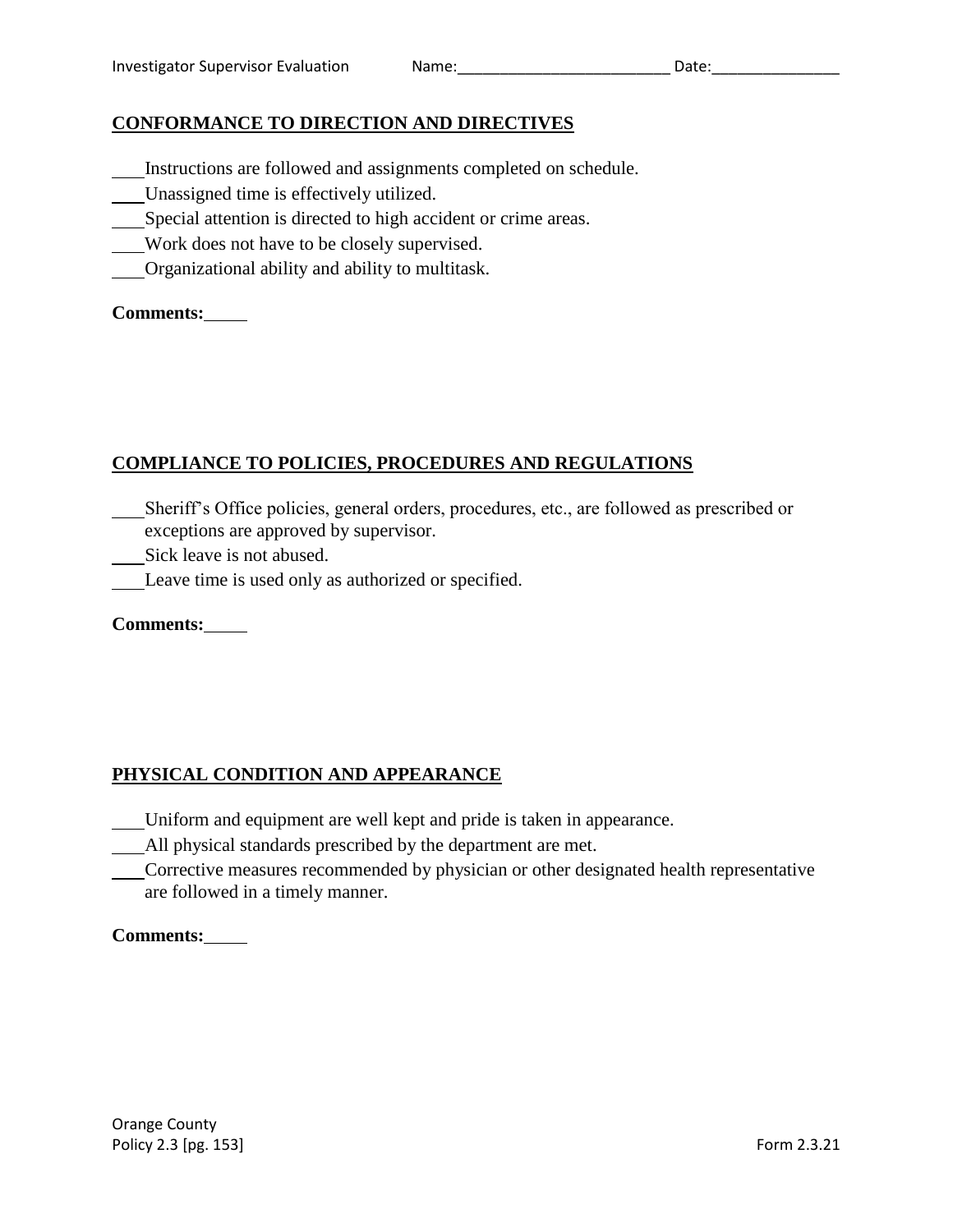# **CONFORMANCE TO DIRECTION AND DIRECTIVES**

- Instructions are followed and assignments completed on schedule.
- Unassigned time is effectively utilized.
- Special attention is directed to high accident or crime areas.
- Work does not have to be closely supervised.
- Organizational ability and ability to multitask.

# **Comments:**

# **COMPLIANCE TO POLICIES, PROCEDURES AND REGULATIONS**

- Sheriff's Office policies, general orders, procedures, etc., are followed as prescribed or exceptions are approved by supervisor.
- Sick leave is not abused.
- Leave time is used only as authorized or specified.

# **Comments:**

# **PHYSICAL CONDITION AND APPEARANCE**

- Uniform and equipment are well kept and pride is taken in appearance.
- All physical standards prescribed by the department are met.
- Corrective measures recommended by physician or other designated health representative are followed in a timely manner.

## **Comments:**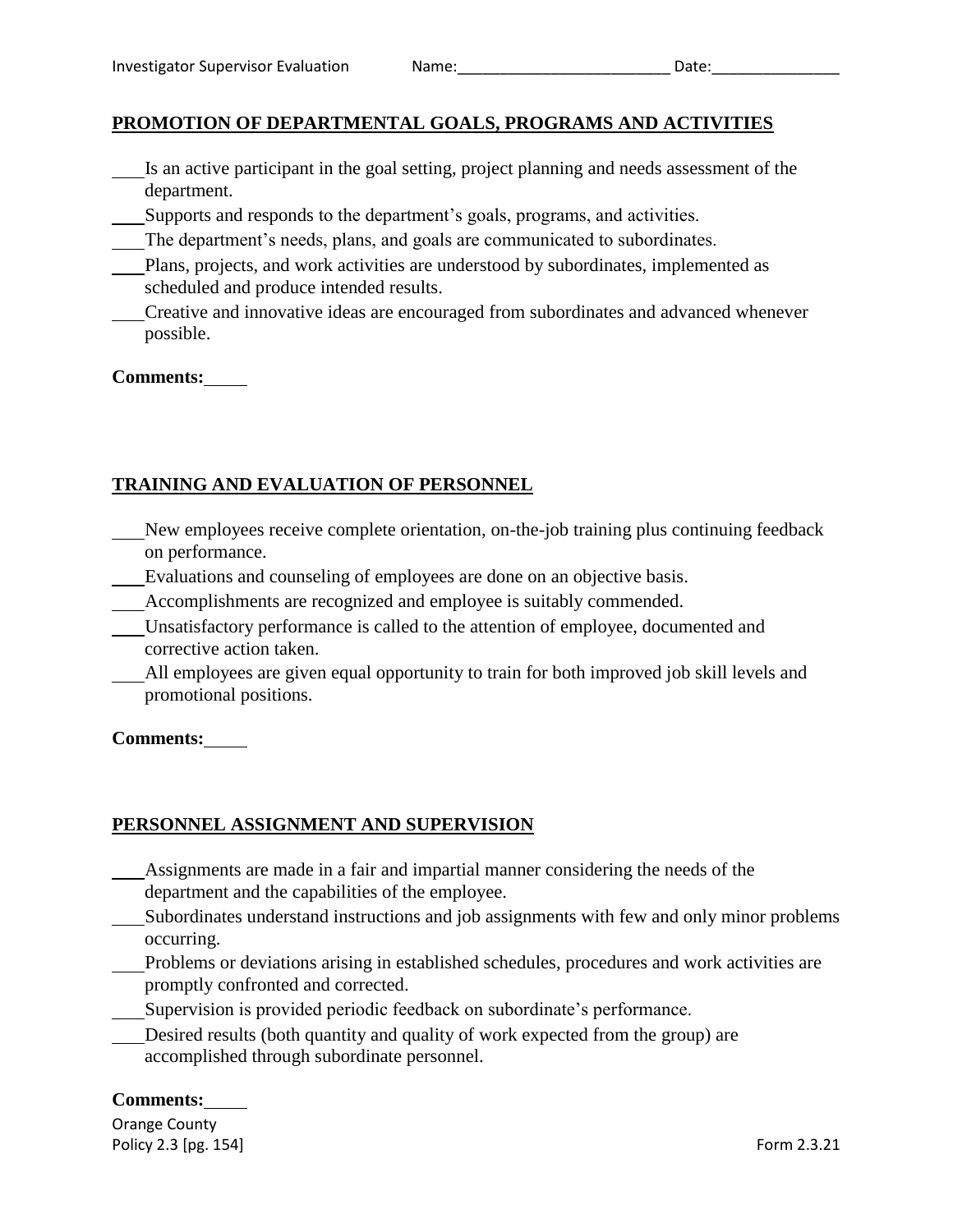# **PROMOTION OF DEPARTMENTAL GOALS, PROGRAMS AND ACTIVITIES**

- Is an active participant in the goal setting, project planning and needs assessment of the department.
- Supports and responds to the department's goals, programs, and activities.
- The department's needs, plans, and goals are communicated to subordinates.
- Plans, projects, and work activities are understood by subordinates, implemented as scheduled and produce intended results.
- Creative and innovative ideas are encouraged from subordinates and advanced whenever possible.

#### **Comments:**

# **TRAINING AND EVALUATION OF PERSONNEL**

- New employees receive complete orientation, on-the-job training plus continuing feedback on performance.
- Evaluations and counseling of employees are done on an objective basis.
- Accomplishments are recognized and employee is suitably commended.
- Unsatisfactory performance is called to the attention of employee, documented and corrective action taken.
- All employees are given equal opportunity to train for both improved job skill levels and promotional positions.

#### **Comments:**

## **PERSONNEL ASSIGNMENT AND SUPERVISION**

- Assignments are made in a fair and impartial manner considering the needs of the department and the capabilities of the employee.
- Subordinates understand instructions and job assignments with few and only minor problems occurring.
- Problems or deviations arising in established schedules, procedures and work activities are promptly confronted and corrected.
- Supervision is provided periodic feedback on subordinate's performance.
- Desired results (both quantity and quality of work expected from the group) are accomplished through subordinate personnel.

#### **Comments:**

Orange County Policy 2.3 [pg. 154] Form 2.3.21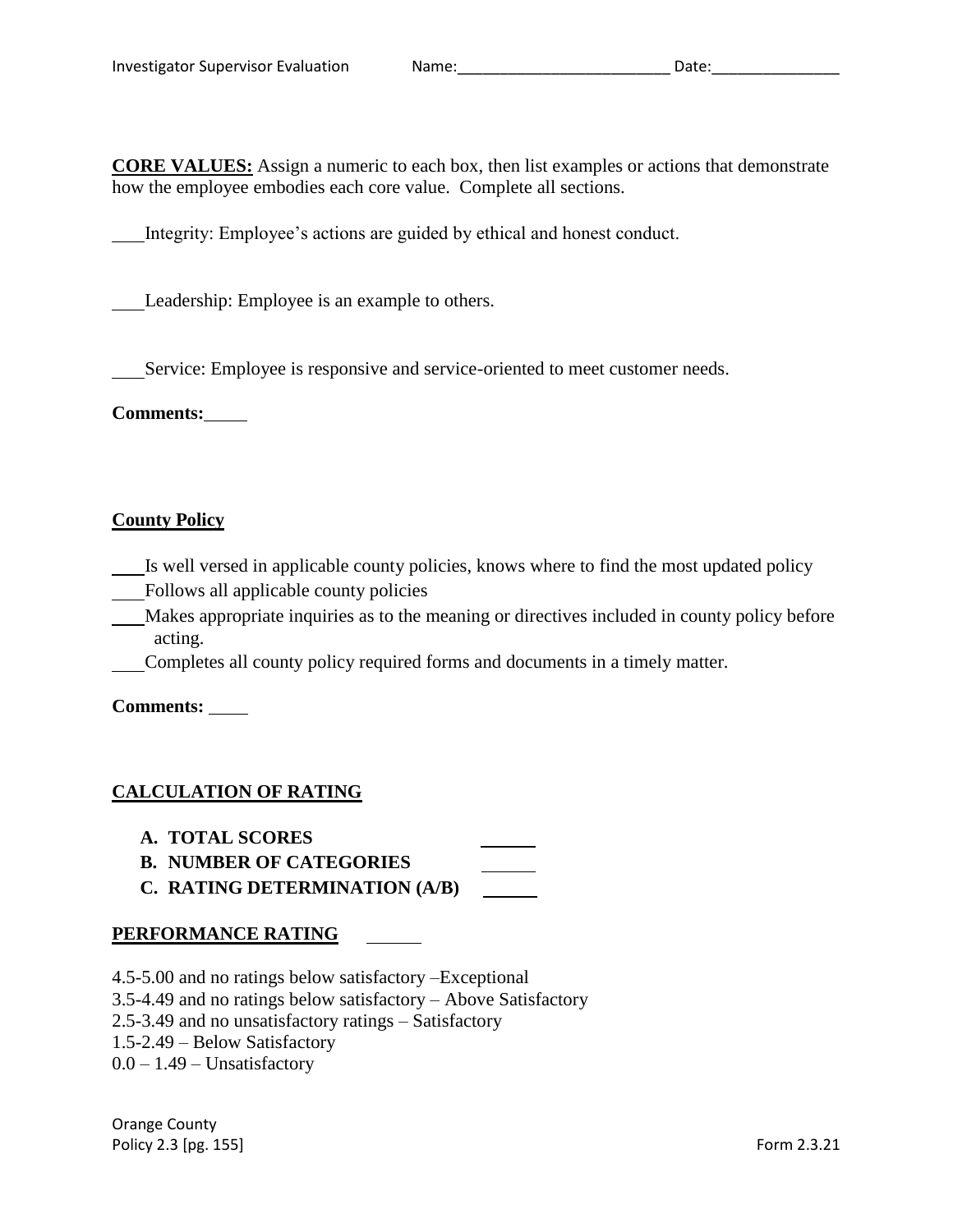**CORE VALUES:** Assign a numeric to each box, then list examples or actions that demonstrate how the employee embodies each core value. Complete all sections.

Integrity: Employee's actions are guided by ethical and honest conduct.

Leadership: Employee is an example to others.

Service: Employee is responsive and service-oriented to meet customer needs.

**Comments:**

## **County Policy**

- Is well versed in applicable county policies, knows where to find the most updated policy
- Follows all applicable county policies
- Makes appropriate inquiries as to the meaning or directives included in county policy before acting.
- Completes all county policy required forms and documents in a timely matter.

**Comments:** 

# **CALCULATION OF RATING**

- **A. TOTAL SCORES**
- **B. NUMBER OF CATEGORIES**
- **C. RATING DETERMINATION (A/B)**

## **PERFORMANCE RATING**

- 4.5-5.00 and no ratings below satisfactory –Exceptional
- 3.5-4.49 and no ratings below satisfactory Above Satisfactory
- 2.5-3.49 and no unsatisfactory ratings Satisfactory
- 1.5-2.49 Below Satisfactory
- $0.0 1.49$  Unsatisfactory

Orange County Policy 2.3 [pg. 155] Form 2.3.21